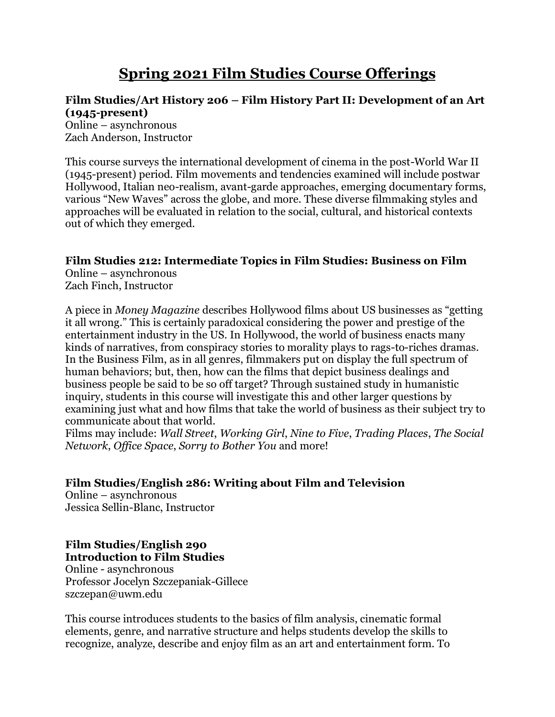# **Spring 2021 Film Studies Course Offerings**

#### **Film Studies/Art History 206 – Film History Part II: Development of an Art (1945-present)**

Online – asynchronous Zach Anderson, Instructor

This course surveys the international development of cinema in the post-World War II (1945-present) period. Film movements and tendencies examined will include postwar Hollywood, Italian neo-realism, avant-garde approaches, emerging documentary forms, various "New Waves" across the globe, and more. These diverse filmmaking styles and approaches will be evaluated in relation to the social, cultural, and historical contexts out of which they emerged.

### **Film Studies 212: Intermediate Topics in Film Studies: Business on Film**

Online – asynchronous Zach Finch, Instructor

A piece in *Money Magazine* describes Hollywood films about US businesses as "getting it all wrong." This is certainly paradoxical considering the power and prestige of the entertainment industry in the US. In Hollywood, the world of business enacts many kinds of narratives, from conspiracy stories to morality plays to rags-to-riches dramas. In the Business Film, as in all genres, filmmakers put on display the full spectrum of human behaviors; but, then, how can the films that depict business dealings and business people be said to be so off target? Through sustained study in humanistic inquiry, students in this course will investigate this and other larger questions by examining just what and how films that take the world of business as their subject try to communicate about that world.

Films may include: *Wall Street*, *Working Girl*, *Nine to Five*, *Trading Places*, *The Social Network*, *Office Space*, *Sorry to Bother You* and more!

### **Film Studies/English 286: Writing about Film and Television**

Online – asynchronous Jessica Sellin-Blanc, Instructor

### **Film Studies/English 290 Introduction to Film Studies**

Online - asynchronous Professor Jocelyn Szczepaniak-Gillece szczepan@uwm.edu

This course introduces students to the basics of film analysis, cinematic formal elements, genre, and narrative structure and helps students develop the skills to recognize, analyze, describe and enjoy film as an art and entertainment form. To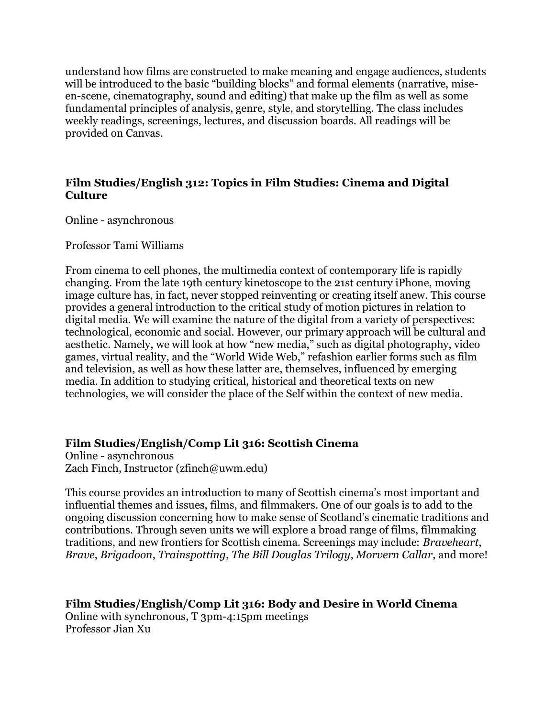understand how films are constructed to make meaning and engage audiences, students will be introduced to the basic "building blocks" and formal elements (narrative, miseen-scene, cinematography, sound and editing) that make up the film as well as some fundamental principles of analysis, genre, style, and storytelling. The class includes weekly readings, screenings, lectures, and discussion boards. All readings will be provided on Canvas.

#### **Film Studies/English 312: Topics in Film Studies: Cinema and Digital Culture**

Online - asynchronous

Professor Tami Williams

From cinema to cell phones, the multimedia context of contemporary life is rapidly changing. From the late 19th century kinetoscope to the 21st century iPhone, moving image culture has, in fact, never stopped reinventing or creating itself anew. This course provides a general introduction to the critical study of motion pictures in relation to digital media. We will examine the nature of the digital from a variety of perspectives: technological, economic and social. However, our primary approach will be cultural and aesthetic. Namely, we will look at how "new media," such as digital photography, video games, virtual reality, and the "World Wide Web," refashion earlier forms such as film and television, as well as how these latter are, themselves, influenced by emerging media. In addition to studying critical, historical and theoretical texts on new technologies, we will consider the place of the Self within the context of new media.

#### **Film Studies/English/Comp Lit 316: Scottish Cinema**

Online - asynchronous Zach Finch, Instructor (zfinch@uwm.edu)

This course provides an introduction to many of Scottish cinema's most important and influential themes and issues, films, and filmmakers. One of our goals is to add to the ongoing discussion concerning how to make sense of Scotland's cinematic traditions and contributions. Through seven units we will explore a broad range of films, filmmaking traditions, and new frontiers for Scottish cinema. Screenings may include: *Braveheart*, *Brave*, *Brigadoon*, *Trainspotting*, *The Bill Douglas Trilogy*, *Morvern Callar*, and more!

**Film Studies/English/Comp Lit 316: Body and Desire in World Cinema** Online with synchronous, T 3pm-4:15pm meetings Professor Jian Xu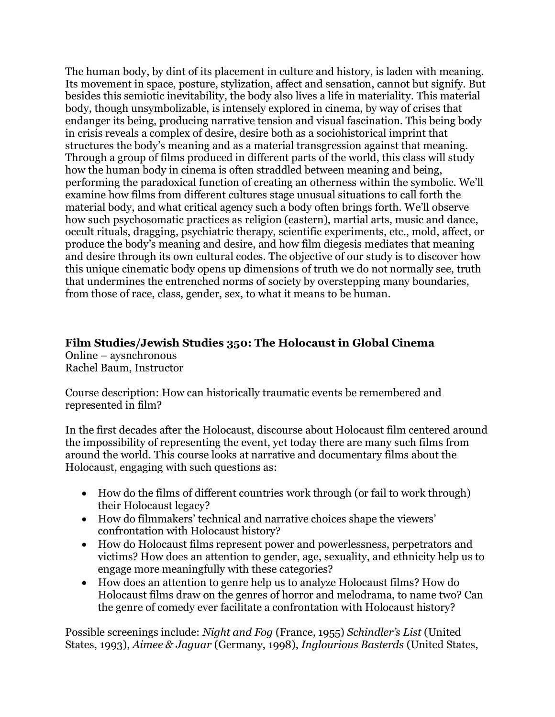The human body, by dint of its placement in culture and history, is laden with meaning. Its movement in space, posture, stylization, affect and sensation, cannot but signify. But besides this semiotic inevitability, the body also lives a life in materiality. This material body, though unsymbolizable, is intensely explored in cinema, by way of crises that endanger its being, producing narrative tension and visual fascination. This being body in crisis reveals a complex of desire, desire both as a sociohistorical imprint that structures the body's meaning and as a material transgression against that meaning. Through a group of films produced in different parts of the world, this class will study how the human body in cinema is often straddled between meaning and being, performing the paradoxical function of creating an otherness within the symbolic. We'll examine how films from different cultures stage unusual situations to call forth the material body, and what critical agency such a body often brings forth. We'll observe how such psychosomatic practices as religion (eastern), martial arts, music and dance, occult rituals, dragging, psychiatric therapy, scientific experiments, etc., mold, affect, or produce the body's meaning and desire, and how film diegesis mediates that meaning and desire through its own cultural codes. The objective of our study is to discover how this unique cinematic body opens up dimensions of truth we do not normally see, truth that undermines the entrenched norms of society by overstepping many boundaries, from those of race, class, gender, sex, to what it means to be human.

#### **Film Studies/Jewish Studies 350: The Holocaust in Global Cinema** Online – aysnchronous Rachel Baum, Instructor

Course description: How can historically traumatic events be remembered and represented in film?

In the first decades after the Holocaust, discourse about Holocaust film centered around the impossibility of representing the event, yet today there are many such films from around the world. This course looks at narrative and documentary films about the Holocaust, engaging with such questions as:

- How do the films of different countries work through (or fail to work through) their Holocaust legacy?
- How do filmmakers' technical and narrative choices shape the viewers' confrontation with Holocaust history?
- How do Holocaust films represent power and powerlessness, perpetrators and victims? How does an attention to gender, age, sexuality, and ethnicity help us to engage more meaningfully with these categories?
- How does an attention to genre help us to analyze Holocaust films? How do Holocaust films draw on the genres of horror and melodrama, to name two? Can the genre of comedy ever facilitate a confrontation with Holocaust history?

Possible screenings include: *Night and Fog* (France, 1955) *Schindler's List* (United States, 1993), *Aimee & Jaguar* (Germany, 1998), *Inglourious Basterds* (United States,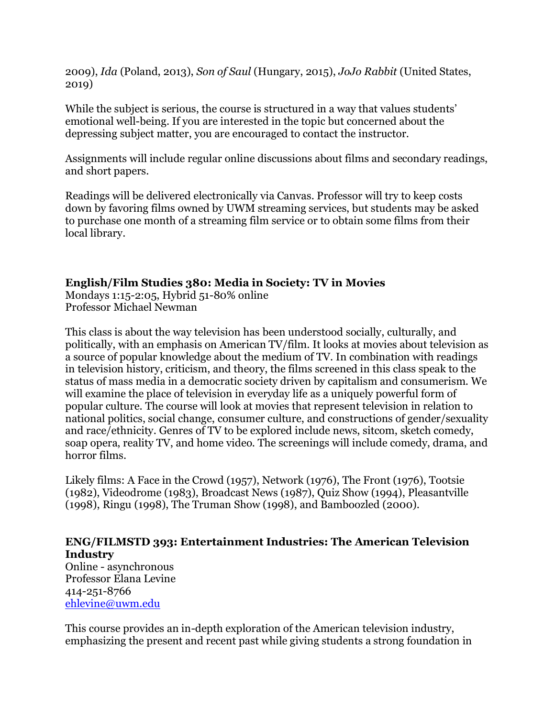2009), *Ida* (Poland, 2013), *Son of Saul* (Hungary, 2015), *JoJo Rabbit* (United States, 2019)

While the subject is serious, the course is structured in a way that values students' emotional well-being. If you are interested in the topic but concerned about the depressing subject matter, you are encouraged to contact the instructor.

Assignments will include regular online discussions about films and secondary readings, and short papers.

Readings will be delivered electronically via Canvas. Professor will try to keep costs down by favoring films owned by UWM streaming services, but students may be asked to purchase one month of a streaming film service or to obtain some films from their local library.

#### **English/Film Studies 380: Media in Society: TV in Movies**

Mondays 1:15-2:05, Hybrid 51-80% online Professor Michael Newman

This class is about the way television has been understood socially, culturally, and politically, with an emphasis on American TV/film. It looks at movies about television as a source of popular knowledge about the medium of TV. In combination with readings in television history, criticism, and theory, the films screened in this class speak to the status of mass media in a democratic society driven by capitalism and consumerism. We will examine the place of television in everyday life as a uniquely powerful form of popular culture. The course will look at movies that represent television in relation to national politics, social change, consumer culture, and constructions of gender/sexuality and race/ethnicity. Genres of TV to be explored include news, sitcom, sketch comedy, soap opera, reality TV, and home video. The screenings will include comedy, drama, and horror films.

Likely films: A Face in the Crowd (1957), Network (1976), The Front (1976), Tootsie (1982), Videodrome (1983), Broadcast News (1987), Quiz Show (1994), Pleasantville (1998), Ringu (1998), The Truman Show (1998), and Bamboozled (2000).

#### **ENG/FILMSTD 393: Entertainment Industries: The American Television Industry**

Online - asynchronous Professor Elana Levine 414-251-8766 [ehlevine@uwm.edu](mailto:ehlevine@uwm.edu)

This course provides an in-depth exploration of the American television industry, emphasizing the present and recent past while giving students a strong foundation in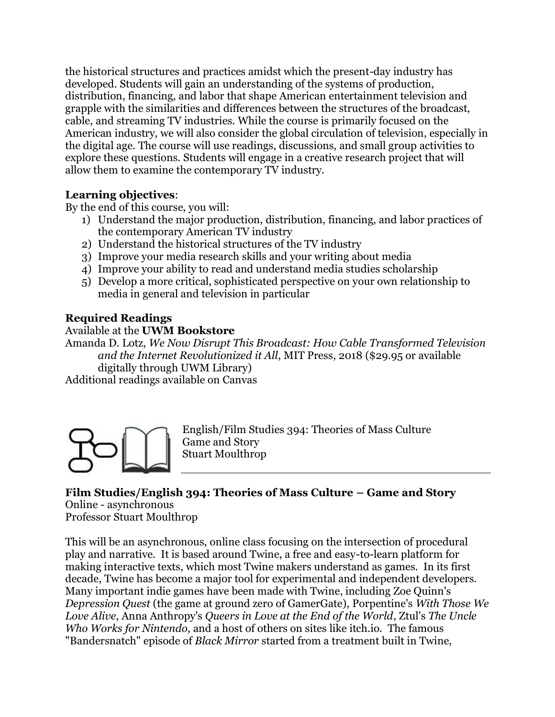the historical structures and practices amidst which the present-day industry has developed. Students will gain an understanding of the systems of production, distribution, financing, and labor that shape American entertainment television and grapple with the similarities and differences between the structures of the broadcast, cable, and streaming TV industries. While the course is primarily focused on the American industry, we will also consider the global circulation of television, especially in the digital age. The course will use readings, discussions, and small group activities to explore these questions. Students will engage in a creative research project that will allow them to examine the contemporary TV industry.

### **Learning objectives**:

By the end of this course, you will:

- 1) Understand the major production, distribution, financing, and labor practices of the contemporary American TV industry
- 2) Understand the historical structures of the TV industry
- 3) Improve your media research skills and your writing about media
- 4) Improve your ability to read and understand media studies scholarship
- 5) Develop a more critical, sophisticated perspective on your own relationship to media in general and television in particular

### **Required Readings**

#### Available at the **UWM Bookstore**

Amanda D. Lotz, *We Now Disrupt This Broadcast: How Cable Transformed Television and the Internet Revolutionized it All*, MIT Press, 2018 (\$29.95 or available digitally through UWM Library) Additional readings available on Canvas

English/Film Studies 394: Theories of Mass Culture Game and Story Stuart Moulthrop

## **Film Studies/English 394: Theories of Mass Culture – Game and Story**

Online - asynchronous

Professor Stuart Moulthrop

This will be an asynchronous, online class focusing on the intersection of procedural play and narrative. It is based around Twine, a free and easy-to-learn platform for making interactive texts, which most Twine makers understand as games. In its first decade, Twine has become a major tool for experimental and independent developers. Many important indie games have been made with Twine, including Zoe Quinn's *Depression Quest* (the game at ground zero of GamerGate), Porpentine's *With Those We Love Alive*, Anna Anthropy's *Queers in Love at the End of the World*, Ztul's *The Uncle Who Works for Nintendo*, and a host of others on sites like itch.io. The famous "Bandersnatch" episode of *Black Mirror* started from a treatment built in Twine,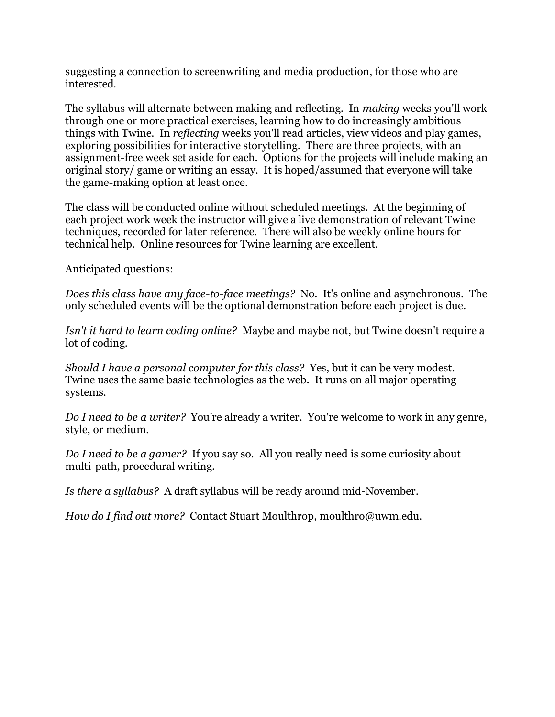suggesting a connection to screenwriting and media production, for those who are interested.

The syllabus will alternate between making and reflecting. In *making* weeks you'll work through one or more practical exercises, learning how to do increasingly ambitious things with Twine. In *reflecting* weeks you'll read articles, view videos and play games, exploring possibilities for interactive storytelling. There are three projects, with an assignment-free week set aside for each. Options for the projects will include making an original story/ game or writing an essay. It is hoped/assumed that everyone will take the game-making option at least once.

The class will be conducted online without scheduled meetings. At the beginning of each project work week the instructor will give a live demonstration of relevant Twine techniques, recorded for later reference. There will also be weekly online hours for technical help. Online resources for Twine learning are excellent.

Anticipated questions:

*Does this class have any face-to-face meetings?* No. It's online and asynchronous. The only scheduled events will be the optional demonstration before each project is due.

*Isn't it hard to learn coding online?* Maybe and maybe not, but Twine doesn't require a lot of coding.

*Should I have a personal computer for this class?* Yes, but it can be very modest. Twine uses the same basic technologies as the web. It runs on all major operating systems.

*Do I need to be a writer?* You're already a writer. You're welcome to work in any genre, style, or medium.

*Do I need to be a gamer?* If you say so. All you really need is some curiosity about multi-path, procedural writing.

*Is there a syllabus?* A draft syllabus will be ready around mid-November.

*How do I find out more?* Contact Stuart Moulthrop, moulthro@uwm.edu.